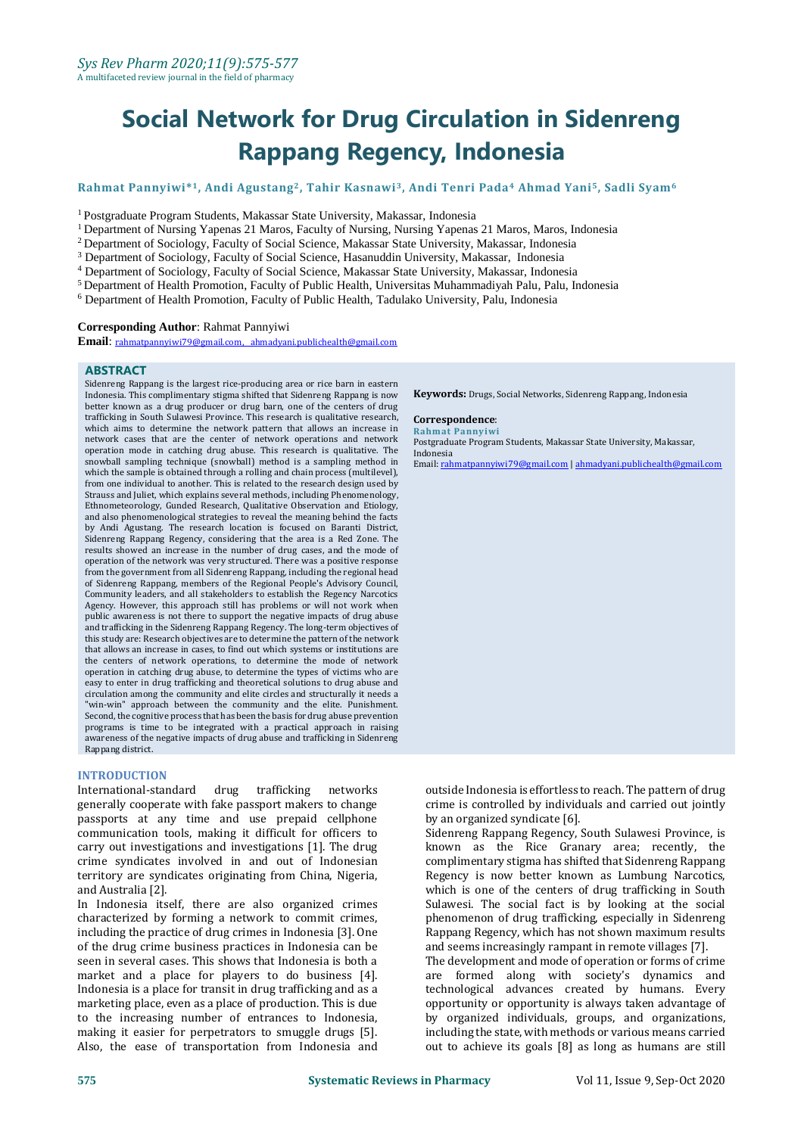# **Social Network for Drug Circulation in Sidenreng Rappang Regency, Indonesia**

# **Rahmat Pannyiwi\* <sup>1</sup>, Andi Agustang2, Tahir Kasnawi3, Andi Tenri Pada<sup>4</sup> Ahmad Yani5, Sadli Syam<sup>6</sup>**

<sup>1</sup>Postgraduate Program Students, Makassar State University, Makassar, Indonesia

<sup>1</sup> Department of Nursing Yapenas 21 Maros, Faculty of Nursing, Nursing Yapenas 21 Maros, Maros, Indonesia

<sup>2</sup> Department of Sociology, Faculty of Social Science, Makassar State University, Makassar, Indonesia

<sup>3</sup> Department of Sociology, Faculty of Social Science, Hasanuddin University, Makassar, Indonesia

<sup>4</sup> Department of Sociology, Faculty of Social Science, Makassar State University, Makassar, Indonesia

<sup>5</sup> Department of Health Promotion, Faculty of Public Health, Universitas Muhammadiyah Palu, Palu, Indonesia

<sup>6</sup> Department of Health Promotion, Faculty of Public Health, Tadulako University, Palu, Indonesia

#### **Corresponding Author**: Rahmat Pannyiwi

**Email**: [rahmatpannyiwi79@gmail.com,](mailto:rahmatpannyiwi79@gmail.com) [ahmadyani.publichealth@gmail.com](mailto:ahmadyani.publichealth@gmail.com)

#### **ABSTRACT**

Sidenreng Rappang is the largest rice-producing area or rice barn in eastern Indonesia. This complimentary stigma shifted that Sidenreng Rappang is now better known as a drug producer or drug barn, one of the centers of drug trafficking in South Sulawesi Province. This research is qualitative research, which aims to determine the network pattern that allows an increase in network cases that are the center of network operations and network operation mode in catching drug abuse. This research is qualitative. The snowball sampling technique (snowball) method is a sampling method in which the sample is obtained through a rolling and chain process (multilevel), from one individual to another. This is related to the research design used by Strauss and Juliet, which explains several methods, including Phenomenology, Ethnometeorology, Gunded Research, Qualitative Observation and Etiology, and also phenomenological strategies to reveal the meaning behind the facts by Andi Agustang. The research location is focused on Baranti District, Sidenreng Rappang Regency, considering that the area is a Red Zone. The results showed an increase in the number of drug cases, and the mode of operation of the network was very structured. There was a positive response from the government from all Sidenreng Rappang, including the regional head of Sidenreng Rappang, members of the Regional People's Advisory Council, Community leaders, and all stakeholders to establish the Regency Narcotics Agency. However, this approach still has problems or will not work when public awareness is not there to support the negative impacts of drug abuse and trafficking in the Sidenreng Rappang Regency. The long-term objectives of this study are: Research objectives are to determine the pattern of the network that allows an increase in cases, to find out which systems or institutions are the centers of network operations, to determine the mode of network operation in catching drug abuse, to determine the types of victims who are easy to enter in drug trafficking and theoretical solutions to drug abuse and circulation among the community and elite circles and structurally it needs a "win-win" approach between the community and the elite. Punishment. Second, the cognitive process that has been the basis for drug abuse prevention programs is time to be integrated with a practical approach in raising awareness of the negative impacts of drug abuse and trafficking in Sidenreng Rappang district.

# **INTRODUCTION**

International-standard drug trafficking networks generally cooperate with fake passport makers to change passports at any time and use prepaid cellphone communication tools, making it difficult for officers to carry out investigations and investigations [1]. The drug crime syndicates involved in and out of Indonesian territory are syndicates originating from China, Nigeria, and Australia [2].

In Indonesia itself, there are also organized crimes characterized by forming a network to commit crimes, including the practice of drug crimes in Indonesia [3]. One of the drug crime business practices in Indonesia can be seen in several cases. This shows that Indonesia is both a market and a place for players to do business [4]. Indonesia is a place for transit in drug trafficking and as a marketing place, even as a place of production. This is due to the increasing number of entrances to Indonesia, making it easier for perpetrators to smuggle drugs [5]. Also, the ease of transportation from Indonesia and **Keywords:** Drugs, Social Networks, Sidenreng Rappang, Indonesia

# **Correspondence**:

**Rahmat Pannyiwi** Postgraduate Program Students, Makassar State University, Makassar, Indonesia

Email[: rahmatpannyiwi79@gmail.com](mailto:rahmatpannyiwi79@gmail.com) [| ahmadyani.publichealth@gmail.com](mailto:ahmadyani.publichealth@gmail.com)

outside Indonesia is effortless to reach. The pattern of drug crime is controlled by individuals and carried out jointly by an organized syndicate [6].

Sidenreng Rappang Regency, South Sulawesi Province, is known as the Rice Granary area; recently, the complimentary stigma has shifted that Sidenreng Rappang Regency is now better known as Lumbung Narcotics, which is one of the centers of drug trafficking in South Sulawesi. The social fact is by looking at the social phenomenon of drug trafficking, especially in Sidenreng Rappang Regency, which has not shown maximum results and seems increasingly rampant in remote villages [7].

The development and mode of operation or forms of crime are formed along with society's dynamics and technological advances created by humans. Every opportunity or opportunity is always taken advantage of by organized individuals, groups, and organizations, including the state, with methods or various means carried out to achieve its goals [8] as long as humans are still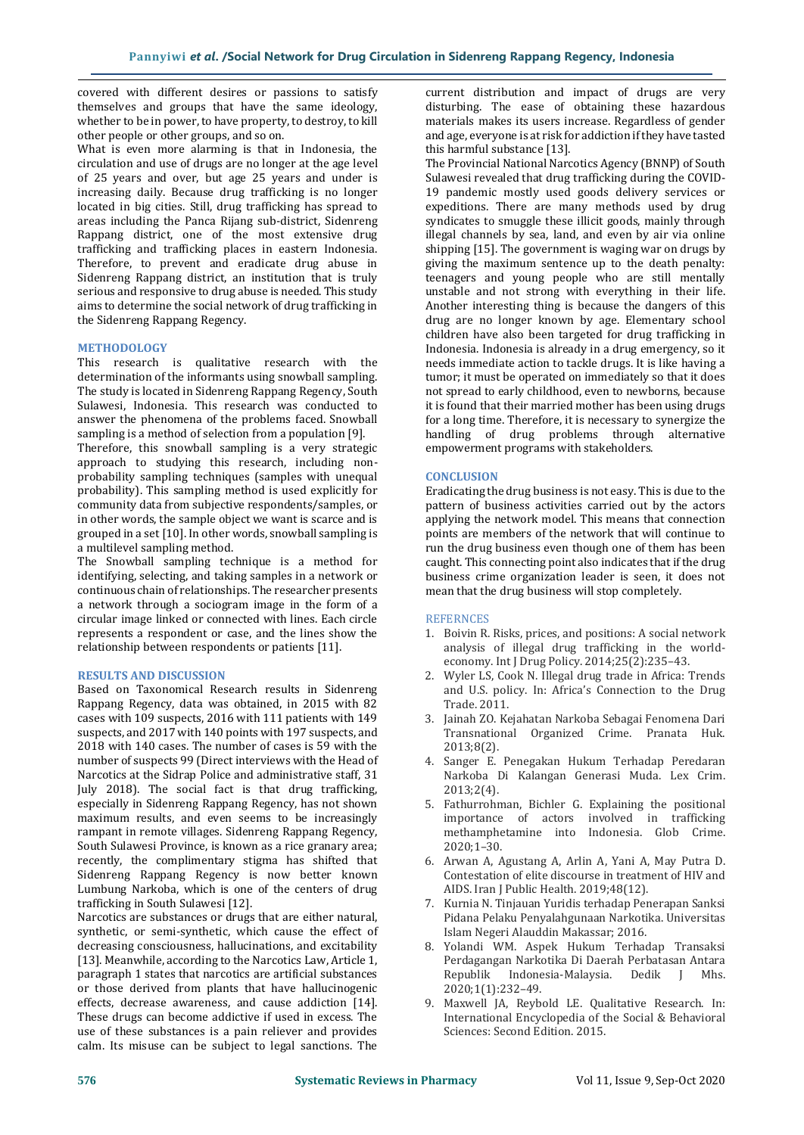covered with different desires or passions to satisfy themselves and groups that have the same ideology, whether to be in power, to have property, to destroy, to kill other people or other groups, and so on.

What is even more alarming is that in Indonesia, the circulation and use of drugs are no longer at the age level of 25 years and over, but age 25 years and under is increasing daily. Because drug trafficking is no longer located in big cities. Still, drug trafficking has spread to areas including the Panca Rijang sub-district, Sidenreng Rappang district, one of the most extensive drug trafficking and trafficking places in eastern Indonesia. Therefore, to prevent and eradicate drug abuse in Sidenreng Rappang district, an institution that is truly serious and responsive to drug abuse is needed. This study aims to determine the social network of drug trafficking in the Sidenreng Rappang Regency.

# **METHODOLOGY**

This research is qualitative research with the determination of the informants using snowball sampling. The study is located in Sidenreng Rappang Regency, South Sulawesi, Indonesia. This research was conducted to answer the phenomena of the problems faced. Snowball sampling is a method of selection from a population [9].

Therefore, this snowball sampling is a very strategic approach to studying this research, including nonprobability sampling techniques (samples with unequal probability). This sampling method is used explicitly for community data from subjective respondents/samples, or in other words, the sample object we want is scarce and is grouped in a set [10]. In other words, snowball sampling is a multilevel sampling method.

The Snowball sampling technique is a method for identifying, selecting, and taking samples in a network or continuous chain of relationships. The researcher presents a network through a sociogram image in the form of a circular image linked or connected with lines. Each circle represents a respondent or case, and the lines show the relationship between respondents or patients [11].

# **RESULTS AND DISCUSSION**

Based on Taxonomical Research results in Sidenreng Rappang Regency, data was obtained, in 2015 with 82 cases with 109 suspects, 2016 with 111 patients with 149 suspects, and 2017 with 140 points with 197 suspects, and 2018 with 140 cases. The number of cases is 59 with the number of suspects 99 (Direct interviews with the Head of Narcotics at the Sidrap Police and administrative staff, 31 July 2018). The social fact is that drug trafficking, especially in Sidenreng Rappang Regency, has not shown maximum results, and even seems to be increasingly rampant in remote villages. Sidenreng Rappang Regency, South Sulawesi Province, is known as a rice granary area; recently, the complimentary stigma has shifted that Sidenreng Rappang Regency is now better known Lumbung Narkoba, which is one of the centers of drug trafficking in South Sulawesi [12].

Narcotics are substances or drugs that are either natural, synthetic, or semi-synthetic, which cause the effect of decreasing consciousness, hallucinations, and excitability [13]. Meanwhile, according to the Narcotics Law, Article 1, paragraph 1 states that narcotics are artificial substances or those derived from plants that have hallucinogenic effects, decrease awareness, and cause addiction [14]. These drugs can become addictive if used in excess. The use of these substances is a pain reliever and provides calm. Its misuse can be subject to legal sanctions. The

current distribution and impact of drugs are very disturbing. The ease of obtaining these hazardous materials makes its users increase. Regardless of gender and age, everyone is at risk for addiction if they have tasted this harmful substance [13].

The Provincial National Narcotics Agency (BNNP) of South Sulawesi revealed that drug trafficking during the COVID-19 pandemic mostly used goods delivery services or expeditions. There are many methods used by drug syndicates to smuggle these illicit goods, mainly through illegal channels by sea, land, and even by air via online shipping [15]. The government is waging war on drugs by giving the maximum sentence up to the death penalty: teenagers and young people who are still mentally unstable and not strong with everything in their life. Another interesting thing is because the dangers of this drug are no longer known by age. Elementary school children have also been targeted for drug trafficking in Indonesia. Indonesia is already in a drug emergency, so it needs immediate action to tackle drugs. It is like having a tumor; it must be operated on immediately so that it does not spread to early childhood, even to newborns, because it is found that their married mother has been using drugs for a long time. Therefore, it is necessary to synergize the handling of drug problems through alternative empowerment programs with stakeholders.

# **CONCLUSION**

Eradicating the drug business is not easy. This is due to the pattern of business activities carried out by the actors applying the network model. This means that connection points are members of the network that will continue to run the drug business even though one of them has been caught. This connecting point also indicates that if the drug business crime organization leader is seen, it does not mean that the drug business will stop completely.

# **REFERNCES**

- 1. Boivin R. Risks, prices, and positions: A social network analysis of illegal drug trafficking in the worldeconomy. Int J Drug Policy. 2014;25(2):235–43.
- 2. Wyler LS, Cook N. Illegal drug trade in Africa: Trends and U.S. policy. In: Africa's Connection to the Drug Trade. 2011.
- 3. Jainah ZO. Kejahatan Narkoba Sebagai Fenomena Dari Transnational Organized Crime. Pranata Huk. 2013;8(2).
- 4. Sanger E. Penegakan Hukum Terhadap Peredaran Narkoba Di Kalangan Generasi Muda. Lex Crim. 2013;2(4).
- 5. Fathurrohman, Bichler G. Explaining the positional importance of actors involved in trafficking methamphetamine into Indonesia. Glob Crime. 2020;1–30.
- 6. Arwan A, Agustang A, Arlin A, Yani A, May Putra D. Contestation of elite discourse in treatment of HIV and AIDS. Iran J Public Health. 2019;48(12).
- 7. Kurnia N. Tinjauan Yuridis terhadap Penerapan Sanksi Pidana Pelaku Penyalahgunaan Narkotika. Universitas Islam Negeri Alauddin Makassar; 2016.
- 8. Yolandi WM. Aspek Hukum Terhadap Transaksi Perdagangan Narkotika Di Daerah Perbatasan Antara Republik Indonesia-Malaysia. Dedik J Mhs. 2020;1(1):232–49.
- 9. Maxwell JA, Reybold LE. Qualitative Research. In: International Encyclopedia of the Social & Behavioral Sciences: Second Edition. 2015.